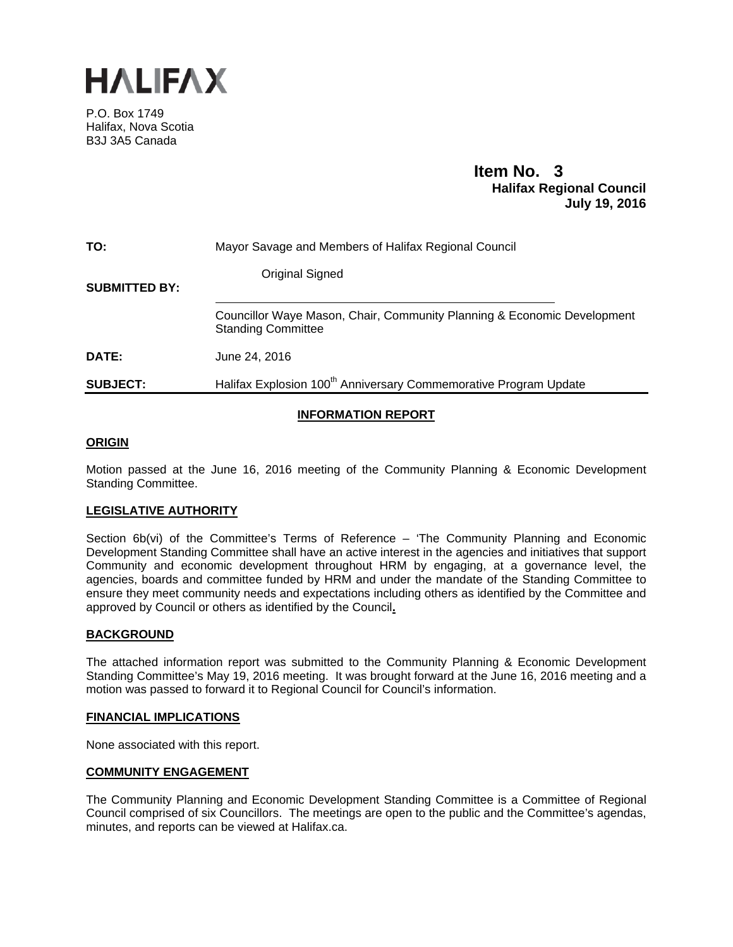

P.O. Box 1749 Halifax, Nova Scotia B3J 3A5 Canada

# **Item No. 3**<br>**Halifax Regional Council July 19, 2016**

| TO:                  | Mayor Savage and Members of Halifax Regional Council                                                 |
|----------------------|------------------------------------------------------------------------------------------------------|
| <b>SUBMITTED BY:</b> | Original Signed                                                                                      |
|                      | Councillor Waye Mason, Chair, Community Planning & Economic Development<br><b>Standing Committee</b> |
| <b>DATE:</b>         | June 24, 2016                                                                                        |
| <b>SUBJECT:</b>      | Halifax Explosion 100 <sup>th</sup> Anniversary Commemorative Program Update                         |

# **INFORMATION REPORT**

# **ORIGIN**

Motion passed at the June 16, 2016 meeting of the Community Planning & Economic Development Standing Committee.

# **LEGISLATIVE AUTHORITY**

Section 6b(vi) of the Committee's Terms of Reference – 'The Community Planning and Economic Development Standing Committee shall have an active interest in the agencies and initiatives that support Community and economic development throughout HRM by engaging, at a governance level, the agencies, boards and committee funded by HRM and under the mandate of the Standing Committee to ensure they meet community needs and expectations including others as identified by the Committee and approved by Council or others as identified by the Council**.** 

#### **BACKGROUND**

The attached information report was submitted to the Community Planning & Economic Development Standing Committee's May 19, 2016 meeting. It was brought forward at the June 16, 2016 meeting and a motion was passed to forward it to Regional Council for Council's information.

#### **FINANCIAL IMPLICATIONS**

None associated with this report.

#### **COMMUNITY ENGAGEMENT**

The Community Planning and Economic Development Standing Committee is a Committee of Regional Council comprised of six Councillors. The meetings are open to the public and the Committee's agendas, minutes, and reports can be viewed at Halifax.ca.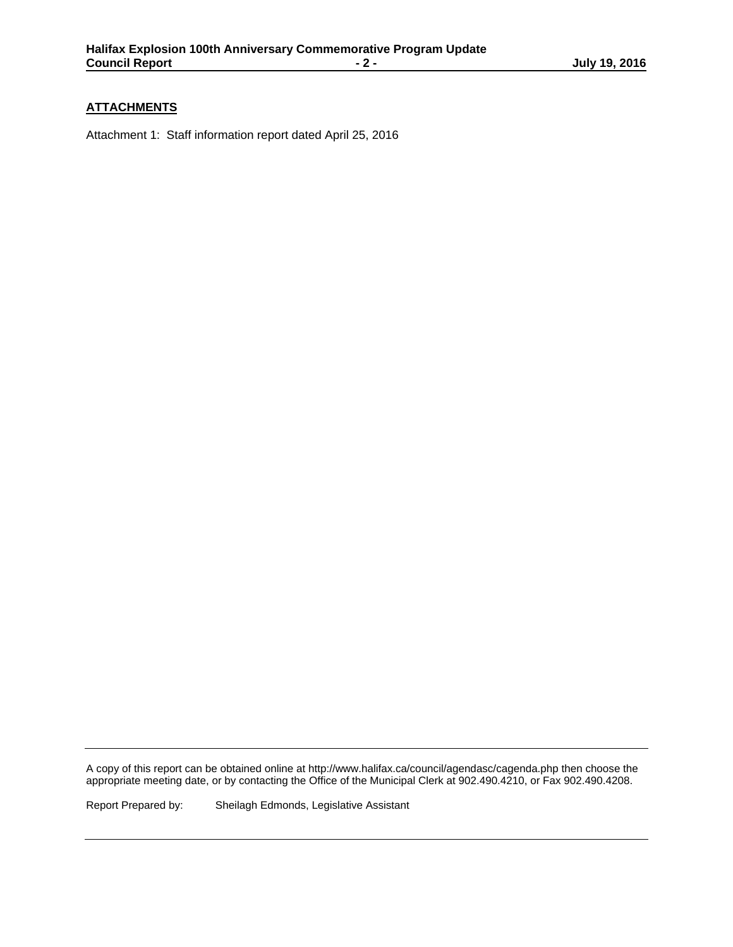# **ATTACHMENTS**

Attachment 1: Staff information report dated April 25, 2016

A copy of this report can be obtained online at http://www.halifax.ca/council/agendasc/cagenda.php then choose the appropriate meeting date, or by contacting the Office of the Municipal Clerk at 902.490.4210, or Fax 902.490.4208.

Report Prepared by: Sheilagh Edmonds, Legislative Assistant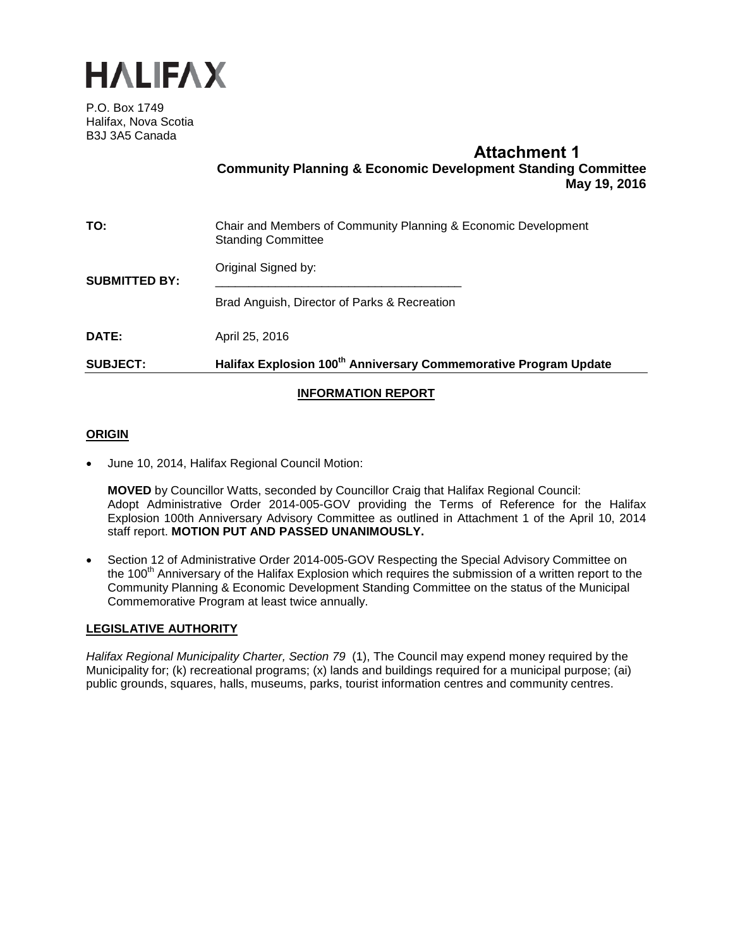

P.O. Box 1749 Halifax, Nova Scotia B3J 3A5 Canada

# **Attachment 1 Community Planning & Economic Development Standing Committee May 19, 2016**

| TO:                  | Chair and Members of Community Planning & Economic Development<br><b>Standing Committee</b> |
|----------------------|---------------------------------------------------------------------------------------------|
| <b>SUBMITTED BY:</b> | Original Signed by:                                                                         |
|                      | Brad Anguish, Director of Parks & Recreation                                                |
| DATE:                | April 25, 2016                                                                              |
| <b>SUBJECT:</b>      | Halifax Explosion 100 <sup>th</sup> Anniversary Commemorative Program Update                |
|                      |                                                                                             |

# **INFORMATION REPORT**

# **ORIGIN**

• June 10, 2014, Halifax Regional Council Motion:

**MOVED** by Councillor Watts, seconded by Councillor Craig that Halifax Regional Council: Adopt Administrative Order 2014-005-GOV providing the Terms of Reference for the Halifax Explosion 100th Anniversary Advisory Committee as outlined in Attachment 1 of the April 10, 2014 staff report. **MOTION PUT AND PASSED UNANIMOUSLY.**

• Section 12 of Administrative Order 2014-005-GOV Respecting the Special Advisory Committee on the 100<sup>th</sup> Anniversary of the Halifax Explosion which requires the submission of a written report to the Community Planning & Economic Development Standing Committee on the status of the Municipal Commemorative Program at least twice annually.

#### **LEGISLATIVE AUTHORITY**

*Halifax Regional Municipality Charter, Section 79* (1), The Council may expend money required by the Municipality for; (k) recreational programs; (x) lands and buildings required for a municipal purpose; (ai) public grounds, squares, halls, museums, parks, tourist information centres and community centres.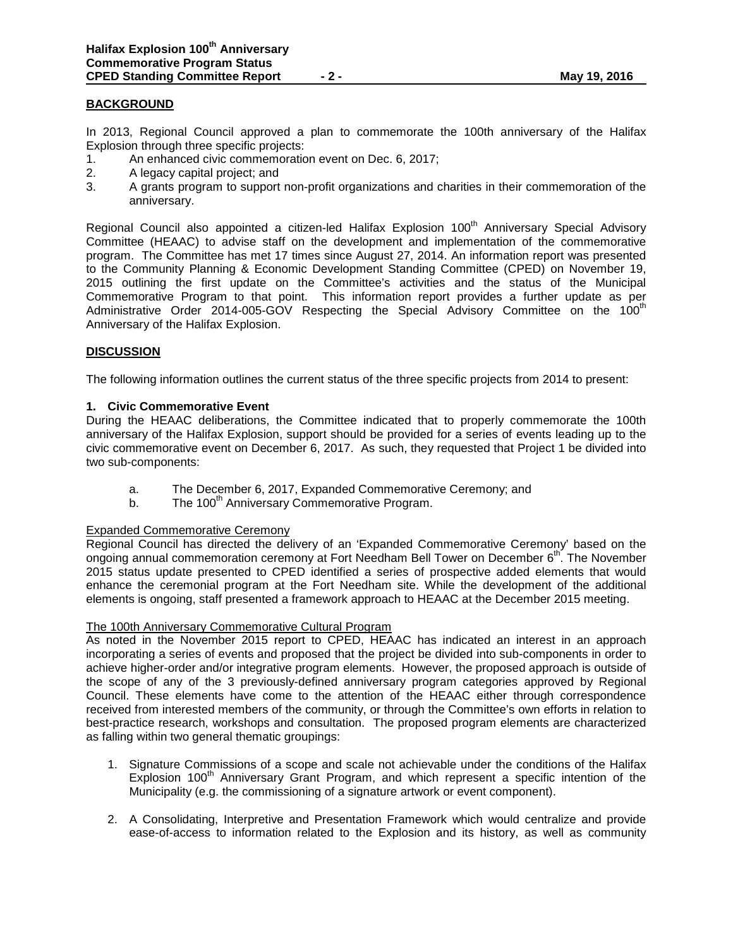#### **BACKGROUND**

In 2013, Regional Council approved a plan to commemorate the 100th anniversary of the Halifax Explosion through three specific projects:

- 1. An enhanced civic commemoration event on Dec. 6, 2017;
- 2. A legacy capital project; and
- 3. A grants program to support non-profit organizations and charities in their commemoration of the anniversary.

Regional Council also appointed a citizen-led Halifax Explosion 100<sup>th</sup> Anniversary Special Advisory Committee (HEAAC) to advise staff on the development and implementation of the commemorative program. The Committee has met 17 times since August 27, 2014. An information report was presented to the Community Planning & Economic Development Standing Committee (CPED) on November 19, 2015 outlining the first update on the Committee's activities and the status of the Municipal Commemorative Program to that point. This information report provides a further update as per Administrative Order 2014-005-GOV Respecting the Special Advisory Committee on the 100<sup>th</sup> Anniversary of the Halifax Explosion.

#### **DISCUSSION**

The following information outlines the current status of the three specific projects from 2014 to present:

#### **1. Civic Commemorative Event**

During the HEAAC deliberations, the Committee indicated that to properly commemorate the 100th anniversary of the Halifax Explosion, support should be provided for a series of events leading up to the civic commemorative event on December 6, 2017. As such, they requested that Project 1 be divided into two sub-components:

- a. The December 6, 2017, Expanded Commemorative Ceremony; and
- b. The 100<sup>th</sup> Anniversary Commemorative Program.

#### Expanded Commemorative Ceremony

Regional Council has directed the delivery of an 'Expanded Commemorative Ceremony' based on the ongoing annual commemoration ceremony at Fort Needham Bell Tower on December 6<sup>th</sup>. The November 2015 status update presented to CPED identified a series of prospective added elements that would enhance the ceremonial program at the Fort Needham site. While the development of the additional elements is ongoing, staff presented a framework approach to HEAAC at the December 2015 meeting.

#### The 100th Anniversary Commemorative Cultural Program

As noted in the November 2015 report to CPED, HEAAC has indicated an interest in an approach incorporating a series of events and proposed that the project be divided into sub-components in order to achieve higher-order and/or integrative program elements. However, the proposed approach is outside of the scope of any of the 3 previously-defined anniversary program categories approved by Regional Council. These elements have come to the attention of the HEAAC either through correspondence received from interested members of the community, or through the Committee's own efforts in relation to best-practice research, workshops and consultation. The proposed program elements are characterized as falling within two general thematic groupings:

- 1. Signature Commissions of a scope and scale not achievable under the conditions of the Halifax Explosion 100<sup>th</sup> Anniversary Grant Program, and which represent a specific intention of the Municipality (e.g. the commissioning of a signature artwork or event component).
- 2. A Consolidating, Interpretive and Presentation Framework which would centralize and provide ease-of-access to information related to the Explosion and its history, as well as community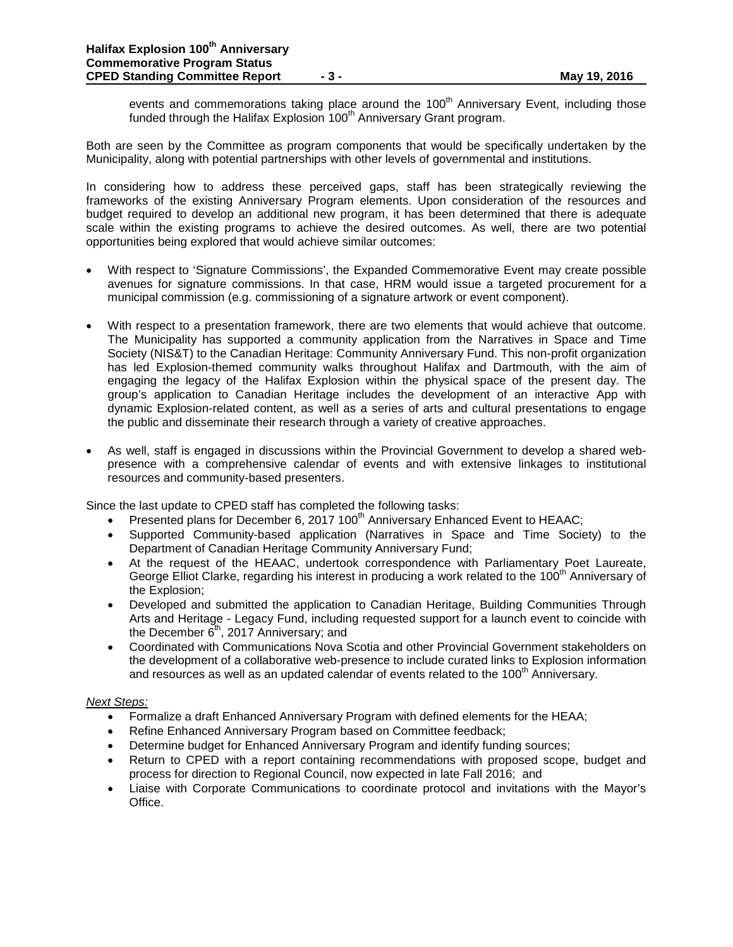events and commemorations taking place around the  $100<sup>th</sup>$  Anniversary Event, including those funded through the Halifax Explosion  $100<sup>th</sup>$  Anniversary Grant program.

Both are seen by the Committee as program components that would be specifically undertaken by the Municipality, along with potential partnerships with other levels of governmental and institutions.

In considering how to address these perceived gaps, staff has been strategically reviewing the frameworks of the existing Anniversary Program elements. Upon consideration of the resources and budget required to develop an additional new program, it has been determined that there is adequate scale within the existing programs to achieve the desired outcomes. As well, there are two potential opportunities being explored that would achieve similar outcomes:

- With respect to 'Signature Commissions', the Expanded Commemorative Event may create possible avenues for signature commissions. In that case, HRM would issue a targeted procurement for a municipal commission (e.g. commissioning of a signature artwork or event component).
- With respect to a presentation framework, there are two elements that would achieve that outcome. The Municipality has supported a community application from the Narratives in Space and Time Society (NIS&T) to the Canadian Heritage: Community Anniversary Fund. This non-profit organization has led Explosion-themed community walks throughout Halifax and Dartmouth, with the aim of engaging the legacy of the Halifax Explosion within the physical space of the present day. The group's application to Canadian Heritage includes the development of an interactive App with dynamic Explosion-related content, as well as a series of arts and cultural presentations to engage the public and disseminate their research through a variety of creative approaches.
- As well, staff is engaged in discussions within the Provincial Government to develop a shared webpresence with a comprehensive calendar of events and with extensive linkages to institutional resources and community-based presenters.

Since the last update to CPED staff has completed the following tasks:

- Presented plans for December 6, 2017 100<sup>th</sup> Anniversary Enhanced Event to HEAAC;
- Supported Community-based application (Narratives in Space and Time Society) to the Department of Canadian Heritage Community Anniversary Fund;
- At the request of the HEAAC, undertook correspondence with Parliamentary Poet Laureate, George Elliot Clarke, regarding his interest in producing a work related to the  $100<sup>th</sup>$  Anniversary of the Explosion;
- Developed and submitted the application to Canadian Heritage, Building Communities Through Arts and Heritage - Legacy Fund, including requested support for a launch event to coincide with the December  $6<sup>th</sup>$ , 2017 Anniversary; and
- Coordinated with Communications Nova Scotia and other Provincial Government stakeholders on the development of a collaborative web-presence to include curated links to Explosion information and resources as well as an updated calendar of events related to the  $100<sup>th</sup>$  Anniversary.

#### *Next Steps:*

- Formalize a draft Enhanced Anniversary Program with defined elements for the HEAA;
- Refine Enhanced Anniversary Program based on Committee feedback;
- Determine budget for Enhanced Anniversary Program and identify funding sources;
- Return to CPED with a report containing recommendations with proposed scope, budget and process for direction to Regional Council, now expected in late Fall 2016; and
- Liaise with Corporate Communications to coordinate protocol and invitations with the Mayor's Office.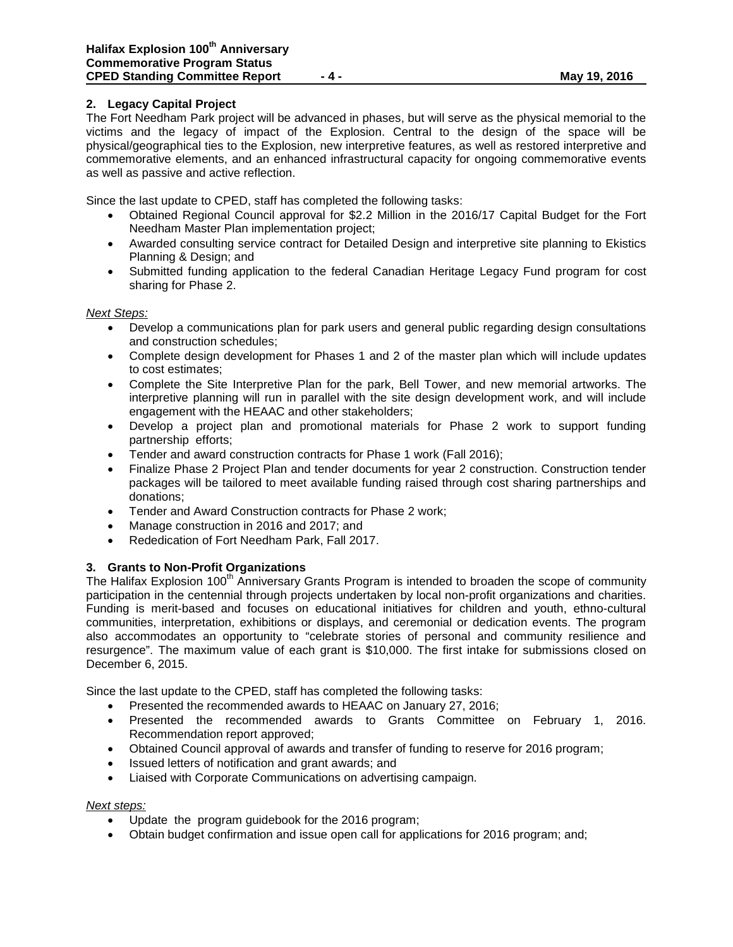# **2. Legacy Capital Project**

The Fort Needham Park project will be advanced in phases, but will serve as the physical memorial to the victims and the legacy of impact of the Explosion. Central to the design of the space will be physical/geographical ties to the Explosion, new interpretive features, as well as restored interpretive and commemorative elements, and an enhanced infrastructural capacity for ongoing commemorative events as well as passive and active reflection.

Since the last update to CPED, staff has completed the following tasks:

- Obtained Regional Council approval for \$2.2 Million in the 2016/17 Capital Budget for the Fort Needham Master Plan implementation project;
- Awarded consulting service contract for Detailed Design and interpretive site planning to Ekistics Planning & Design; and
- Submitted funding application to the federal Canadian Heritage Legacy Fund program for cost sharing for Phase 2.

#### *Next Steps:*

- Develop a communications plan for park users and general public regarding design consultations and construction schedules;
- Complete design development for Phases 1 and 2 of the master plan which will include updates to cost estimates;
- Complete the Site Interpretive Plan for the park, Bell Tower, and new memorial artworks. The interpretive planning will run in parallel with the site design development work, and will include engagement with the HEAAC and other stakeholders;
- Develop a project plan and promotional materials for Phase 2 work to support funding partnership efforts;
- Tender and award construction contracts for Phase 1 work (Fall 2016);
- Finalize Phase 2 Project Plan and tender documents for year 2 construction. Construction tender packages will be tailored to meet available funding raised through cost sharing partnerships and donations;
- Tender and Award Construction contracts for Phase 2 work;
- Manage construction in 2016 and 2017; and
- Rededication of Fort Needham Park, Fall 2017.

#### **3. Grants to Non-Profit Organizations**

The Halifax Explosion 100<sup>th</sup> Anniversary Grants Program is intended to broaden the scope of community participation in the centennial through projects undertaken by local non-profit organizations and charities. Funding is merit-based and focuses on educational initiatives for children and youth, ethno-cultural communities, interpretation, exhibitions or displays, and ceremonial or dedication events. The program also accommodates an opportunity to "celebrate stories of personal and community resilience and resurgence". The maximum value of each grant is \$10,000. The first intake for submissions closed on December 6, 2015.

Since the last update to the CPED, staff has completed the following tasks:

- Presented the recommended awards to HEAAC on January 27, 2016;
- Presented the recommended awards to Grants Committee on February 1, 2016. Recommendation report approved;
- Obtained Council approval of awards and transfer of funding to reserve for 2016 program;
- Issued letters of notification and grant awards; and
- Liaised with Corporate Communications on advertising campaign.

#### *Next steps:*

- Update the program guidebook for the 2016 program;
- Obtain budget confirmation and issue open call for applications for 2016 program; and;